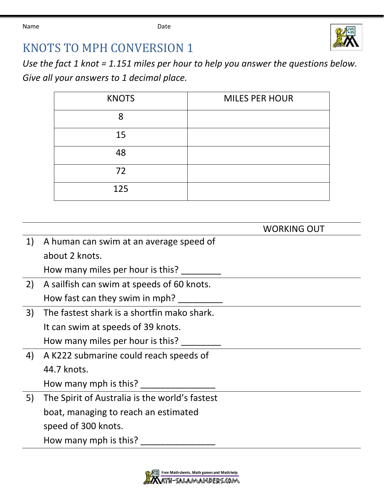

## KNOTS TO MPH CONVERSION 1

*Use the fact 1 knot = 1.151 miles per hour to help you answer the questions below. Give all your answers to 1 decimal place.*

| <b>KNOTS</b> | <b>MILES PER HOUR</b> |
|--------------|-----------------------|
| 8            |                       |
| 15           |                       |
| 48           |                       |
| 72           |                       |
| 125          |                       |

|    |                                                | <b>WORKING OUT</b> |
|----|------------------------------------------------|--------------------|
| 1) | A human can swim at an average speed of        |                    |
|    | about 2 knots.                                 |                    |
|    | How many miles per hour is this?               |                    |
| 2) | A sailfish can swim at speeds of 60 knots.     |                    |
|    | How fast can they swim in mph?                 |                    |
| 3) | The fastest shark is a shortfin mako shark.    |                    |
|    | It can swim at speeds of 39 knots.             |                    |
|    | How many miles per hour is this?               |                    |
| 4) | A K222 submarine could reach speeds of         |                    |
|    | 44.7 knots.                                    |                    |
|    | How many mph is this?                          |                    |
| 5) | The Spirit of Australia is the world's fastest |                    |
|    | boat, managing to reach an estimated           |                    |
|    | speed of 300 knots.                            |                    |
|    | How many mph is this?                          |                    |